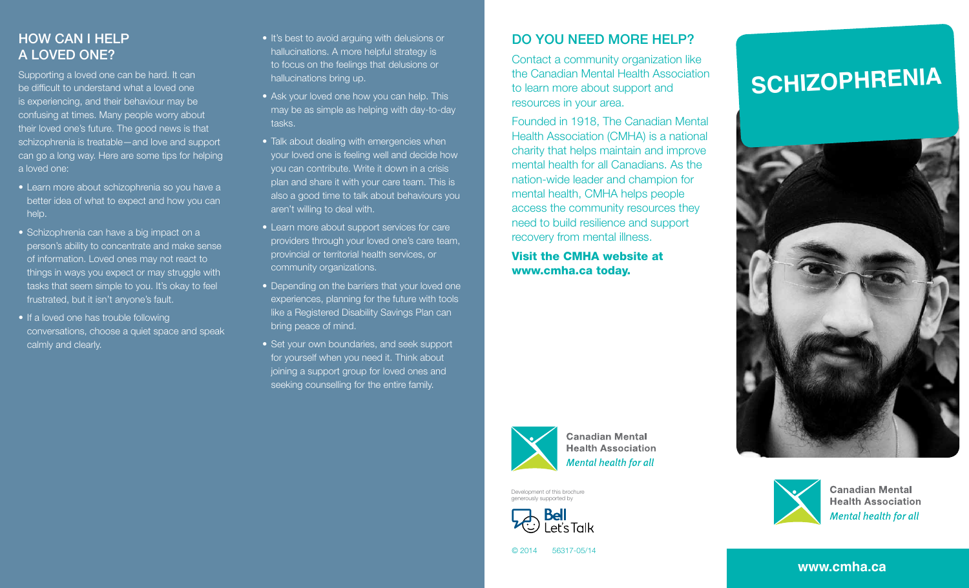# How can I help a loved one?

Supporting a loved one can be hard. It can be difficult to understand what a loved one is experiencing, and their behaviour may be confusing at times. Many people worry about their loved one's future. The good news is that schizophrenia is treatable—and love and support can go a long way. Here are some tips for helping a loved one:

- Learn more about schizophrenia so you have a better idea of what to expect and how you can help.
- Schizophrenia can have a big impact on a person's ability to concentrate and make sense of information. Loved ones may not react to things in ways you expect or may struggle with tasks that seem simple to you. It's okay to feel frustrated, but it isn't anyone's fault.
- If a loved one has trouble following conversations, choose a quiet space and speak calmly and clearly.
- It's best to avoid arguing with delusions or hallucinations. A more helpful strategy is to focus on the feelings that delusions or hallucinations bring up.
- Ask your loved one how you can help. This may be as simple as helping with day-to-day tasks.
- Talk about dealing with emergencies when your loved one is feeling well and decide how you can contribute. Write it down in a crisis plan and share it with your care team. This is also a good time to talk about behaviours you aren't willing to deal with.
- Learn more about support services for care providers through your loved one's care team, provincial or territorial health services, or community organizations.
- Depending on the barriers that your loved one experiences, planning for the future with tools like a Registered Disability Savings Plan can bring peace of mind.
- Set your own boundaries, and seek support for yourself when you need it. Think about joining a support group for loved ones and seeking counselling for the entire family.

# Do you need more help?

Contact a community organization like the Canadian Mental Health Association to learn more about support and resources in your area.

Founded in 1918, The Canadian Mental Health Association (CMHA) is a national charity that helps maintain and improve mental health for all Canadians. As the nation-wide leader and champion for mental health, CMHA helps people access the community resources they need to build resilience and support recovery from mental illness.

Visit the CMHA website at www.cmha.ca today.



**Canadian Mental Health Association Mental health for all** 

Development of this brochure generously supported by



**SCHIZOPHRENIA**





**Canadian Mental Health Association** Mental health for all

```
© 2014 56317-05/14
```